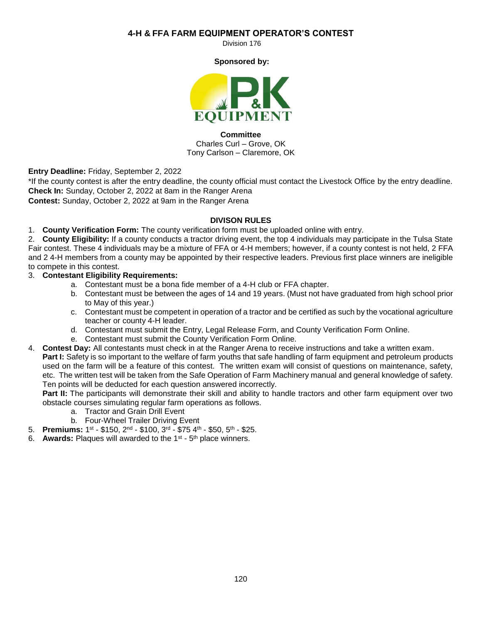### **4-H & FFA FARM EQUIPMENT OPERATOR'S CONTEST**

Division 176

**Sponsored by:**



**Committee** Charles Curl – Grove, OK Tony Carlson – Claremore, OK

**Entry Deadline:** Friday, September 2, 2022

\*If the county contest is after the entry deadline, the county official must contact the Livestock Office by the entry deadline. **Check In:** Sunday, October 2, 2022 at 8am in the Ranger Arena

**Contest:** Sunday, October 2, 2022 at 9am in the Ranger Arena

#### **DIVISON RULES**

1. **County Verification Form:** The county verification form must be uploaded online with entry.

2. **County Eligibility:** If a county conducts a tractor driving event, the top 4 individuals may participate in the Tulsa State Fair contest. These 4 individuals may be a mixture of FFA or 4-H members; however, if a county contest is not held, 2 FFA and 2 4-H members from a county may be appointed by their respective leaders. Previous first place winners are ineligible to compete in this contest.

3. **Contestant Eligibility Requirements:**

- a. Contestant must be a bona fide member of a 4-H club or FFA chapter.
- b. Contestant must be between the ages of 14 and 19 years. (Must not have graduated from high school prior to May of this year.)
- c. Contestant must be competent in operation of a tractor and be certified as such by the vocational agriculture teacher or county 4-H leader.
- d. Contestant must submit the Entry, Legal Release Form, and County Verification Form Online.
- e. Contestant must submit the County Verification Form Online.
- 4. **Contest Day:** All contestants must check in at the Ranger Arena to receive instructions and take a written exam. **Part I:** Safety is so important to the welfare of farm youths that safe handling of farm equipment and petroleum products used on the farm will be a feature of this contest. The written exam will consist of questions on maintenance, safety, etc. The written test will be taken from the Safe Operation of Farm Machinery manual and general knowledge of safety. Ten points will be deducted for each question answered incorrectly.

**Part II:** The participants will demonstrate their skill and ability to handle tractors and other farm equipment over two obstacle courses simulating regular farm operations as follows.

- a. Tractor and Grain Drill Event
- b. Four-Wheel Trailer Driving Event
- 5. **Premiums:** 1<sup>st</sup> \$150, 2<sup>nd</sup> \$100, 3<sup>rd</sup> \$75 4<sup>th</sup> \$50, 5<sup>th</sup> \$25.
- 6. **Awards:** Plaques will awarded to the 1<sup>st</sup> 5<sup>th</sup> place winners.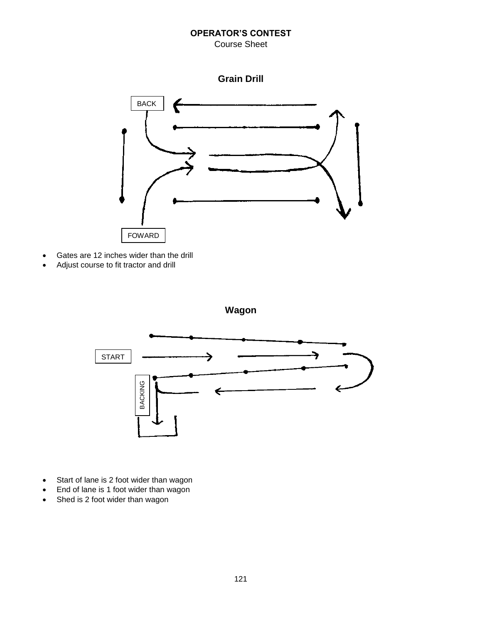## **OPERATOR'S CONTEST**

## Course Sheet



- Gates are 12 inches wider than the drill
- Adjust course to fit tractor and drill



- Start of lane is 2 foot wider than wagon
- End of lane is 1 foot wider than wagon
- Shed is 2 foot wider than wagon